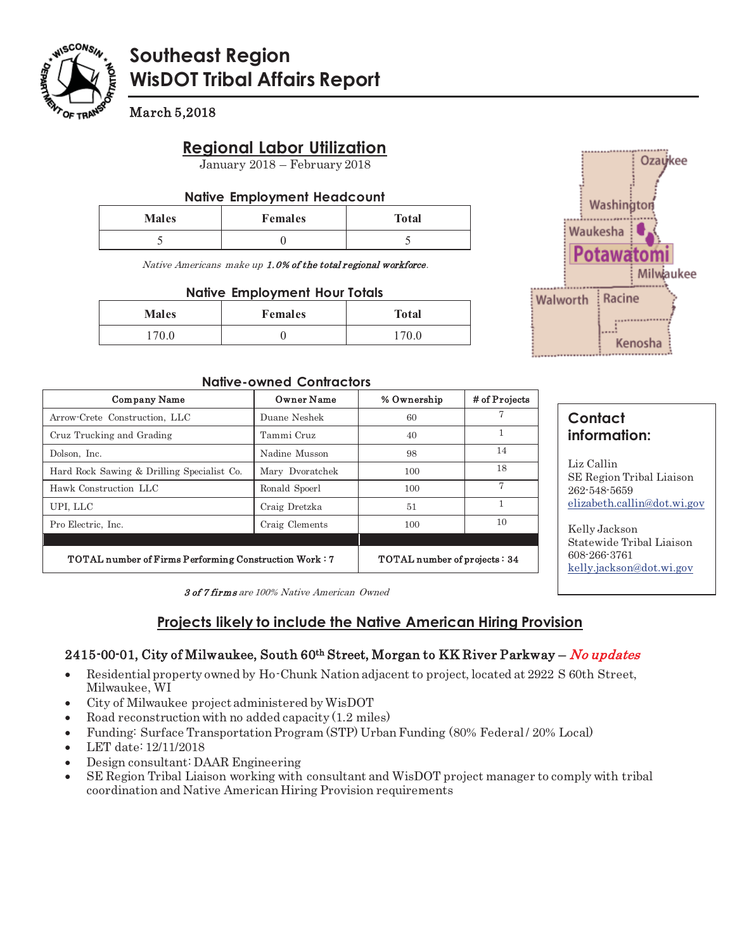

# **Southeast Region WisDOT Tribal Affairs Report**

March 5,2018

# **Regional Labor Utilization**

January 2018 – February 2018

#### **Native Employment Headcount**

| <b>Males</b> | <b>Females</b> | <b>Total</b> |
|--------------|----------------|--------------|
|              |                |              |

Native Americans make up 1.0% of the total regional workforce.

#### **Native Employment Hour Totals**

| <b>Males</b> | <b>Females</b> | <b>Total</b> |
|--------------|----------------|--------------|
| 170.0        |                | 170.0        |



#### **Native-owned Contractors**

| <b>Company Name</b>                                          | Owner Name      | % Ownership                  | # of Projects |
|--------------------------------------------------------------|-----------------|------------------------------|---------------|
| Arrow-Crete Construction, LLC                                | Duane Neshek    | 60                           |               |
| Cruz Trucking and Grading                                    | Tammi Cruz      | 40                           | 1             |
| Dolson, Inc.                                                 | Nadine Musson   | 98                           | 14            |
| Hard Rock Sawing & Drilling Specialist Co.                   | Mary Dyoratchek | 100                          | 18            |
| Hawk Construction LLC                                        | Ronald Spoerl   | 100                          |               |
| UPI, LLC                                                     | Craig Dretzka   | 51                           |               |
| Pro Electric, Inc.                                           | Craig Clements  | 100                          | 10            |
|                                                              |                 |                              |               |
| <b>TOTAL number of Firms Performing Construction Work: 7</b> |                 | TOTAL number of projects: 34 |               |

# **Contact information:**

Liz Callin SE Region Tribal Liaison 262-548-5659 elizabeth.callin@dot.wi.gov

Kelly Jackson Statewide Tribal Liaison 608-266-3761 kelly.jackson@dot.wi.gov

3 of 7 firms are 100% Native American Owned

# **Projects likely to include the Native American Hiring Provision**

### 2415-00-01, City of Milwaukee, South 60<sup>th</sup> Street, Morgan to KK River Parkway – No updates

- - Residential property owned by Ho-Chunk Nation adjacent to project, located at 2922 S 60th Street, Milwaukee, WI
- -City of Milwaukee project administered by WisDOT
- -Road reconstruction with no added capacity (1.2 miles)
- -Funding: Surface Transportation Program (STP) Urban Funding (80% Federal / 20% Local)
- -LET date: 12/11/2018
- -Design consultant: DAAR Engineering
- - SE Region Tribal Liaison working with consultant and WisDOT project manager to comply with tribal coordination and Native American Hiring Provision requirements